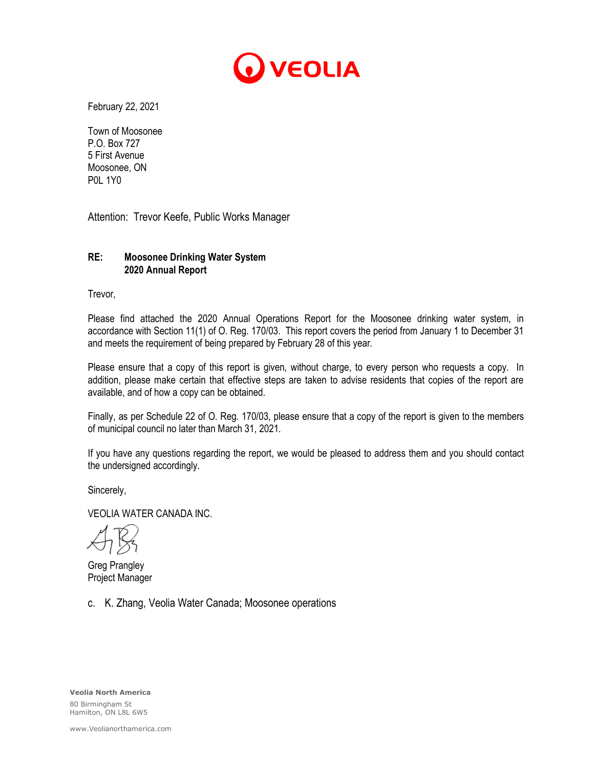

February 22, 2021

Town of Moosonee P.O. Box 727 5 First Avenue Moosonee, ON P0L 1Y0

Attention: Trevor Keefe, Public Works Manager

### **RE: Moosonee Drinking Water System 2020 Annual Report**

Trevor,

Please find attached the 2020 Annual Operations Report for the Moosonee drinking water system, in accordance with Section 11(1) of O. Reg. 170/03. This report covers the period from January 1 to December 31 and meets the requirement of being prepared by February 28 of this year.

Please ensure that a copy of this report is given, without charge, to every person who requests a copy. In addition, please make certain that effective steps are taken to advise residents that copies of the report are available, and of how a copy can be obtained.

Finally, as per Schedule 22 of O. Reg. 170/03, please ensure that a copy of the report is given to the members of municipal council no later than March 31, 2021.

If you have any questions regarding the report, we would be pleased to address them and you should contact the undersigned accordingly.

Sincerely,

VEOLIA WATER CANADA INC.

Greg Prangley Project Manager

c. K. Zhang, Veolia Water Canada; Moosonee operations

**Veolia North America** 80 Birmingham St Hamilton, ON L8L 6W5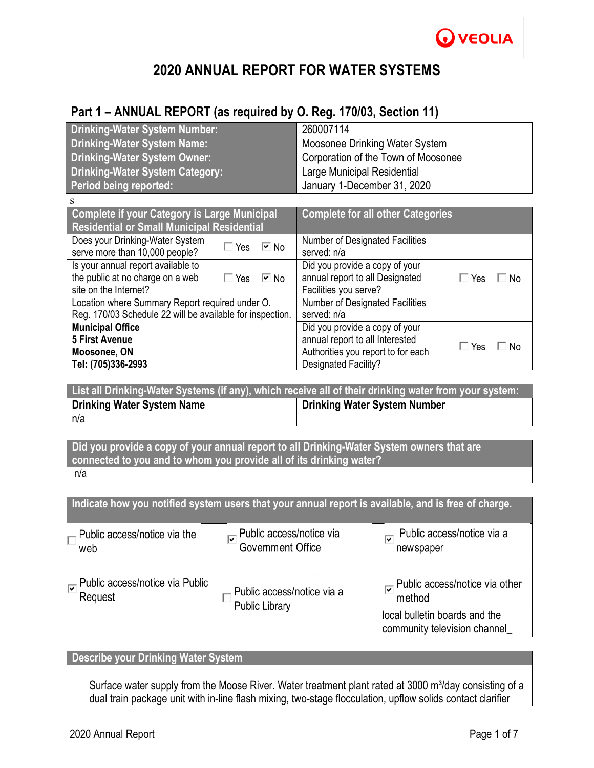# **2020 ANNUAL REPORT FOR WATER SYSTEMS**

## **Part 1 – ANNUAL REPORT (as required by O. Reg. 170/03, Section 11)**

| <b>Drinking-Water System Number:</b>   | 260007114                           |
|----------------------------------------|-------------------------------------|
| <b>Drinking-Water System Name:</b>     | Moosonee Drinking Water System      |
| <b>Drinking-Water System Owner:</b>    | Corporation of the Town of Moosonee |
| <b>Drinking-Water System Category:</b> | Large Municipal Residential         |
| Period being reported:                 | January 1-December 31, 2020         |

| <b>Complete if your Category is Large Municipal</b><br><b>Residential or Small Municipal Residential</b>                      | <b>Complete for all other Categories</b>                                                                                                              |  |  |  |
|-------------------------------------------------------------------------------------------------------------------------------|-------------------------------------------------------------------------------------------------------------------------------------------------------|--|--|--|
| Does your Drinking-Water System<br>$\Box$ Yes<br>$\overline{\triangleright}$ No<br>serve more than 10,000 people?             | <b>Number of Designated Facilities</b><br>served: n/a                                                                                                 |  |  |  |
| Is your annual report available to<br>the public at no charge on a web<br>$\boxdot$ No<br>$\Box$ Yes<br>site on the Internet? | Did you provide a copy of your<br>annual report to all Designated<br>$\Box$ Yes<br>No<br>Facilities you serve?                                        |  |  |  |
| Location where Summary Report required under O.<br>Reg. 170/03 Schedule 22 will be available for inspection.                  | Number of Designated Facilities<br>served: n/a                                                                                                        |  |  |  |
| <b>Municipal Office</b><br><b>5 First Avenue</b><br>Moosonee, ON<br>Tel: (705)336-2993                                        | Did you provide a copy of your<br>annual report to all Interested<br>$\Box$ Yes<br>. No<br>Authorities you report to for each<br>Designated Facility? |  |  |  |

| List all Drinking-Water Systems (if any), which receive all of their drinking water from your system: |                              |  |  |  |
|-------------------------------------------------------------------------------------------------------|------------------------------|--|--|--|
| <b>Drinking Water System Name</b>                                                                     | Drinking Water System Number |  |  |  |
| n/a                                                                                                   |                              |  |  |  |

**Did you provide a copy of your annual report to all Drinking-Water System owners that are connected to you and to whom you provide all of its drinking water?** n/a

**Indicate how you notified system users that your annual report is available, and is free of charge.** Public access/notice via a Public access/notice via Public access/notice via the **Government Office** newspaper web Public access/notice via other Public access/notice via Public Public access/notice via a Request method Public Library local bulletin boards and the community television channel\_

## **Describe your Drinking Water System**

Surface water supply from the Moose River. Water treatment plant rated at 3000 m<sup>3</sup>/day consisting of a dual train package unit with in-line flash mixing, two-stage flocculation, upflow solids contact clarifier

s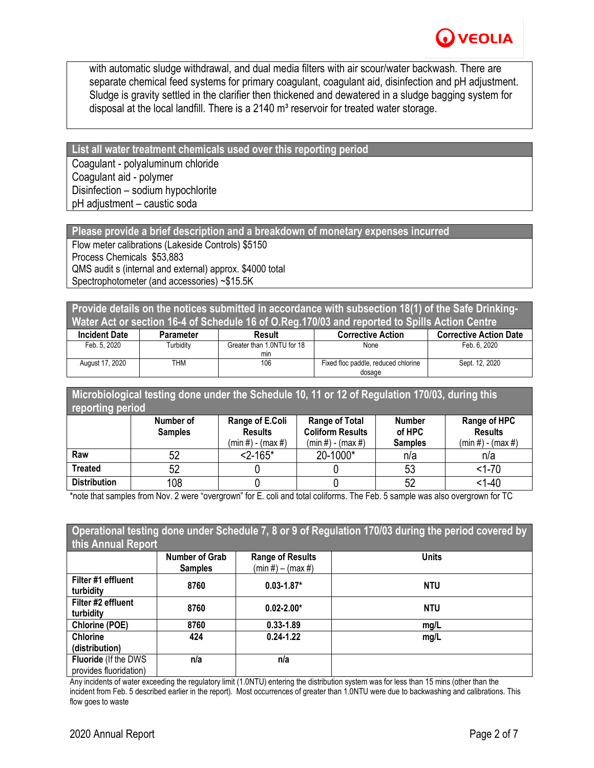with automatic sludge withdrawal, and dual media filters with air scour/water backwash. There are separate chemical feed systems for primary coagulant, coagulant aid, disinfection and pH adjustment. Sludge is gravity settled in the clarifier then thickened and dewatered in a sludge bagging system for disposal at the local landfill. There is a 2140  $m<sup>3</sup>$  reservoir for treated water storage.

**List all water treatment chemicals used over this reporting period** Coagulant - polyaluminum chloride Coagulant aid - polymer Disinfection – sodium hypochlorite pH adjustment – caustic soda

**Please provide a brief description and a breakdown of monetary expenses incurred**

Flow meter calibrations (Lakeside Controls) \$5150 Process Chemicals \$53,883 QMS audit s (internal and external) approx. \$4000 total Spectrophotometer (and accessories) ~\$15.5K

**Provide details on the notices submitted in accordance with subsection 18(1) of the Safe Drinking-Water Act or section 16-4 of Schedule 16 of O.Reg.170/03 and reported to Spills Action Centre**

| <b>Incident Date</b> | Parameter        | Result                     | <b>Corrective Action</b>            | <b>Corrective Action Date</b> |
|----------------------|------------------|----------------------------|-------------------------------------|-------------------------------|
| Feb. 5, 2020         | <b>Furbidity</b> | Greater than 1.0NTU for 18 | None                                | Feb. 6, 2020                  |
|                      |                  | min                        |                                     |                               |
| August 17, 2020      | THM              | 106                        | Fixed floc paddle, reduced chlorine | Sept. 12, 2020                |
|                      |                  |                            | dosage                              |                               |

**Microbiological testing done under the Schedule 10, 11 or 12 of Regulation 170/03, during this reporting period**

|                     | Number of<br><b>Samples</b> | Range of E.Coli<br><b>Results</b><br>$(min #) - (max #)$ | <b>Range of Total</b><br><b>Coliform Results</b><br>(min #) - (max #) | <b>Number</b><br>of HPC<br><b>Samples</b> | Range of HPC<br><b>Results</b><br>$(min #) - (max #)$ |
|---------------------|-----------------------------|----------------------------------------------------------|-----------------------------------------------------------------------|-------------------------------------------|-------------------------------------------------------|
| Raw                 | 52                          | $< 2 - 165$ *                                            | 20-1000*                                                              | n/a                                       | n/a                                                   |
| Treated             | 52                          |                                                          |                                                                       | 53                                        | $<1 - 70$                                             |
| <b>Distribution</b> | 108                         |                                                          |                                                                       | 52                                        | $1 - 40$                                              |

\*note that samples from Nov. 2 were "overgrown" for E. coli and total coliforms. The Feb. 5 sample was also overgrown for TC

|                              |                       |                         | Operational testing done under Schedule 7, 8 or 9 of Regulation 170/03 during the period covered by |
|------------------------------|-----------------------|-------------------------|-----------------------------------------------------------------------------------------------------|
| this Annual Report           |                       |                         |                                                                                                     |
|                              | <b>Number of Grab</b> | <b>Range of Results</b> | <b>Units</b>                                                                                        |
|                              | <b>Samples</b>        | $(min #) - (max #)$     |                                                                                                     |
| Filter #1 effluent           | 8760                  | $0.03 - 1.87*$          | <b>NTU</b>                                                                                          |
| turbidity                    |                       |                         |                                                                                                     |
| Filter #2 effluent           | 8760                  | $0.02 - 2.00*$          | <b>NTU</b>                                                                                          |
| turbidity                    |                       |                         |                                                                                                     |
| <b>Chlorine (POE)</b>        | 8760                  | $0.33 - 1.89$           | mq/L                                                                                                |
| <b>Chlorine</b>              | 424                   | $0.24 - 1.22$           | mg/L                                                                                                |
| (distribution)               |                       |                         |                                                                                                     |
| <b>Fluoride (If the DWS)</b> | n/a                   | n/a                     |                                                                                                     |
| provides fluoridation)       |                       |                         |                                                                                                     |

Any incidents of water exceeding the regulatory limit (1.0NTU) entering the distribution system was for less than 15 mins (other than the incident from Feb. 5 described earlier in the report). Most occurrences of greater than 1.0NTU were due to backwashing and calibrations. This flow goes to waste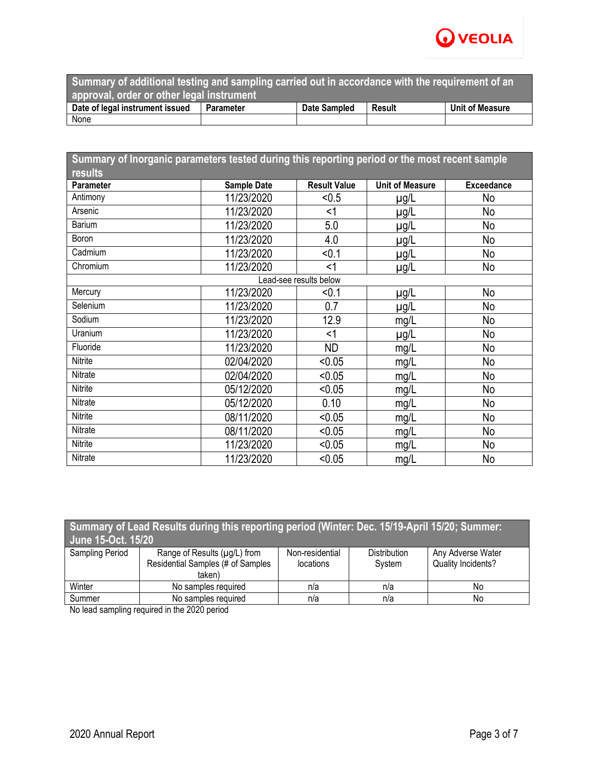

| Summary of additional testing and sampling carried out in accordance with the requirement of an |           |              |               |                 |  |
|-------------------------------------------------------------------------------------------------|-----------|--------------|---------------|-----------------|--|
| approval, order or other legal instrument                                                       |           |              |               |                 |  |
| Date of legal instrument issued                                                                 | Parameter | Date Sampled | <b>Result</b> | Unit of Measure |  |
| None                                                                                            |           |              |               |                 |  |

| Summary of Inorganic parameters tested during this reporting period or the most recent sample |                    |                        |                        |                   |  |
|-----------------------------------------------------------------------------------------------|--------------------|------------------------|------------------------|-------------------|--|
| results                                                                                       |                    |                        |                        |                   |  |
| <b>Parameter</b>                                                                              | <b>Sample Date</b> | <b>Result Value</b>    | <b>Unit of Measure</b> | <b>Exceedance</b> |  |
| Antimony                                                                                      | 11/23/2020         | < 0.5                  | $\mu$ g/L              | No                |  |
| Arsenic                                                                                       | 11/23/2020         | $<$ 1                  | $\mu$ g/L              | No                |  |
| <b>Barium</b>                                                                                 | 11/23/2020         | 5.0                    | µg/L                   | No                |  |
| Boron                                                                                         | 11/23/2020         | 4.0                    | µg/L                   | No                |  |
| Cadmium                                                                                       | 11/23/2020         | < 0.1                  | µg/L                   | No                |  |
| Chromium                                                                                      | 11/23/2020         | $<$ 1                  | µg/L                   | No                |  |
|                                                                                               |                    | Lead-see results below |                        |                   |  |
| Mercury                                                                                       | 11/23/2020         | < 0.1                  | $\mu$ g/L              | No                |  |
| Selenium                                                                                      | 11/23/2020         | 0.7                    | µg/L                   | No                |  |
| Sodium                                                                                        | 11/23/2020         | 12.9                   | mg/L                   | No                |  |
| Uranium                                                                                       | 11/23/2020         | $<$ 1                  | $\mu$ g/L              | No                |  |
| Fluoride                                                                                      | 11/23/2020         | <b>ND</b>              | mg/L                   | No                |  |
| Nitrite                                                                                       | 02/04/2020         | < 0.05                 | mg/L                   | No                |  |
| Nitrate                                                                                       | 02/04/2020         | < 0.05                 | mg/L                   | No                |  |
| Nitrite                                                                                       | 05/12/2020         | < 0.05                 | mg/L                   | No                |  |
| Nitrate                                                                                       | 05/12/2020         | 0.10                   | mg/L                   | No                |  |
| Nitrite                                                                                       | 08/11/2020         | < 0.05                 | mg/L                   | No                |  |
| Nitrate                                                                                       | 08/11/2020         | < 0.05                 | mg/L                   | No                |  |
| Nitrite                                                                                       | 11/23/2020         | < 0.05                 | mg/L                   | No                |  |
| Nitrate                                                                                       | 11/23/2020         | < 0.05                 | mg/L                   | No                |  |

| Summary of Lead Results during this reporting period (Winter: Dec. 15/19-April 15/20; Summer:<br>June 15-Oct. 15/20 |                                                                             |                              |                               |                                         |  |
|---------------------------------------------------------------------------------------------------------------------|-----------------------------------------------------------------------------|------------------------------|-------------------------------|-----------------------------------------|--|
| Sampling Period                                                                                                     | Range of Results (µg/L) from<br>Residential Samples (# of Samples<br>taken) | Non-residential<br>locations | <b>Distribution</b><br>System | Any Adverse Water<br>Quality Incidents? |  |
| Winter                                                                                                              | No samples required                                                         | n/a                          | n/a                           | No                                      |  |
| Summer                                                                                                              | No samples required                                                         | n/a                          | n/a                           | No                                      |  |

No lead sampling required in the 2020 period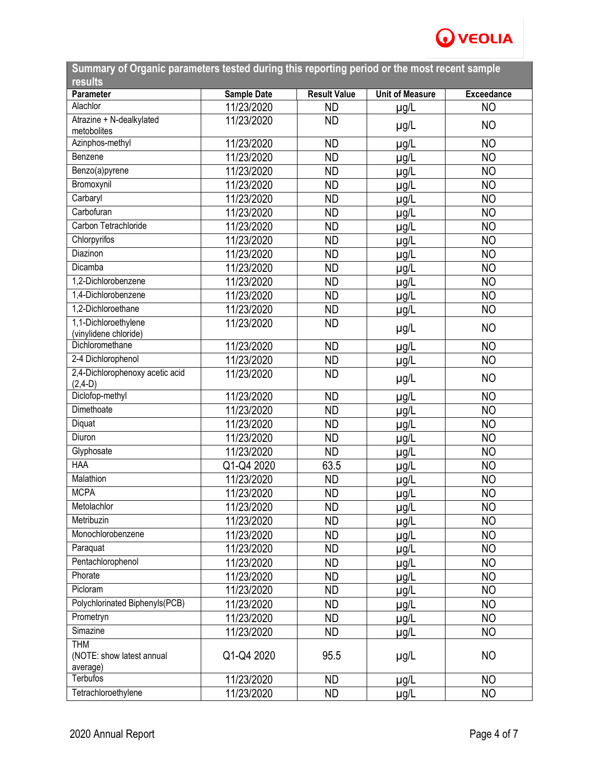

| Summary of Organic parameters tested during this reporting period or the most recent sample<br><b>results</b> |                    |                     |                        |                   |
|---------------------------------------------------------------------------------------------------------------|--------------------|---------------------|------------------------|-------------------|
| Parameter                                                                                                     | <b>Sample Date</b> | <b>Result Value</b> | <b>Unit of Measure</b> | <b>Exceedance</b> |
| Alachlor                                                                                                      | 11/23/2020         | <b>ND</b>           | $\mu$ g/L              | <b>NO</b>         |
| Atrazine + N-dealkylated<br>metobolites                                                                       | 11/23/2020         | <b>ND</b>           | $\mu$ g/L              | <b>NO</b>         |
| Azinphos-methyl                                                                                               | 11/23/2020         | <b>ND</b>           | $\mu$ g/L              | <b>NO</b>         |
| Benzene                                                                                                       | 11/23/2020         | <b>ND</b>           | $\mu$ g/L              | <b>NO</b>         |
| Benzo(a)pyrene                                                                                                | 11/23/2020         | <b>ND</b>           | $\mu$ g/L              | <b>NO</b>         |
| Bromoxynil                                                                                                    | 11/23/2020         | <b>ND</b>           | $\mu$ g/L              | <b>NO</b>         |
| Carbaryl                                                                                                      | 11/23/2020         | <b>ND</b>           | µg/L                   | N <sub>O</sub>    |
| Carbofuran                                                                                                    | 11/23/2020         | <b>ND</b>           | µg/L                   | <b>NO</b>         |
| Carbon Tetrachloride                                                                                          | 11/23/2020         | <b>ND</b>           |                        | <b>NO</b>         |
| Chlorpyrifos                                                                                                  | 11/23/2020         | <b>ND</b>           | µg/L                   | <b>NO</b>         |
| Diazinon                                                                                                      |                    |                     | $\mu$ g/L              |                   |
| Dicamba                                                                                                       | 11/23/2020         | <b>ND</b>           | µg/L                   | <b>NO</b>         |
|                                                                                                               | 11/23/2020         | <b>ND</b>           | $\mu$ g/L              | <b>NO</b>         |
| 1,2-Dichlorobenzene                                                                                           | 11/23/2020         | <b>ND</b>           | $\mu$ g/L              | <b>NO</b>         |
| 1,4-Dichlorobenzene                                                                                           | 11/23/2020         | <b>ND</b>           | $\mu$ g/L              | N <sub>O</sub>    |
| 1.2-Dichloroethane                                                                                            | 11/23/2020         | <b>ND</b>           | $\mu$ g/L              | <b>NO</b>         |
| 1,1-Dichloroethylene<br>(vinylidene chloride)                                                                 | 11/23/2020         | <b>ND</b>           | $\mu$ g/L              | <b>NO</b>         |
| Dichloromethane                                                                                               | 11/23/2020         | <b>ND</b>           | $\mu$ g/L              | <b>NO</b>         |
| 2-4 Dichlorophenol                                                                                            | 11/23/2020         | <b>ND</b>           | µg/L                   | N <sub>O</sub>    |
| 2,4-Dichlorophenoxy acetic acid<br>$(2,4-D)$                                                                  | 11/23/2020         | <b>ND</b>           | $\mu$ g/L              | <b>NO</b>         |
| Diclofop-methyl                                                                                               | 11/23/2020         | <b>ND</b>           | $\mu$ g/L              | <b>NO</b>         |
| Dimethoate                                                                                                    | 11/23/2020         | <b>ND</b>           | µg/L                   | <b>NO</b>         |
| Diquat                                                                                                        | 11/23/2020         | <b>ND</b>           | $\mu$ g/L              | <b>NO</b>         |
| Diuron                                                                                                        | 11/23/2020         | <b>ND</b>           | µg/L                   | <b>NO</b>         |
| Glyphosate                                                                                                    | 11/23/2020         | <b>ND</b>           | $\mu$ g/L              | <b>NO</b>         |
| <b>HAA</b>                                                                                                    | Q1-Q4 2020         | 63.5                | $\mu$ g/L              | <b>NO</b>         |
| Malathion                                                                                                     | 11/23/2020         | <b>ND</b>           | µg/L                   | <b>NO</b>         |
| <b>MCPA</b>                                                                                                   | 11/23/2020         | <b>ND</b>           | $\mu$ g/L              | NO <sub></sub>    |
| Metolachlor                                                                                                   | 11/23/2020         | <b>ND</b>           | $\mu$ g/L              | <b>NO</b>         |
| Metribuzin                                                                                                    | 11/23/2020         | <b>ND</b>           | µg/L                   | <b>NO</b>         |
| Monochlorobenzene                                                                                             | 11/23/2020         | <b>ND</b>           |                        | <b>NO</b>         |
| Paraquat                                                                                                      | 11/23/2020         | <b>ND</b>           | $\mu$ g/L              | <b>NO</b>         |
| Pentachlorophenol                                                                                             |                    |                     | µg/L                   | <b>NO</b>         |
| Phorate                                                                                                       | 11/23/2020         | <b>ND</b>           | µg/L                   |                   |
| Picloram                                                                                                      | 11/23/2020         | <b>ND</b>           | $\mu$ g/L              | <b>NO</b>         |
|                                                                                                               | 11/23/2020         | <b>ND</b>           | µg/L                   | <b>NO</b>         |
| Polychlorinated Biphenyls(PCB)                                                                                | 11/23/2020         | <b>ND</b>           | µg/L                   | <b>NO</b>         |
| Prometryn                                                                                                     | 11/23/2020         | <b>ND</b>           | µg/L                   | <b>NO</b>         |
| Simazine                                                                                                      | 11/23/2020         | <b>ND</b>           | $\mu$ g/L              | <b>NO</b>         |
| <b>THM</b><br>(NOTE: show latest annual<br>average)                                                           | Q1-Q4 2020         | 95.5                | $\mu$ g/L              | <b>NO</b>         |
| Terbufos                                                                                                      | 11/23/2020         | ND                  | $\mu$ g/L              | <b>NO</b>         |
| Tetrachloroethylene                                                                                           | 11/23/2020         | <b>ND</b>           | $\mu$ g/L              | <b>NO</b>         |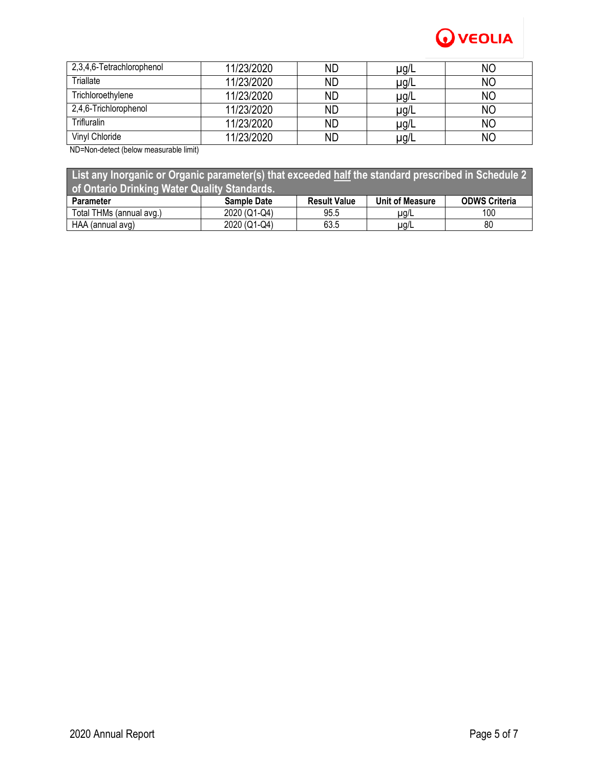

| 2,3,4,6-Tetrachlorophenol | 11/23/2020 | <b>ND</b> | µg/L | NΟ |
|---------------------------|------------|-----------|------|----|
| Triallate                 | 11/23/2020 | <b>ND</b> | µg/L | ΝO |
| Trichloroethylene         | 11/23/2020 | <b>ND</b> | µg/L | ΝO |
| 2,4,6-Trichlorophenol     | 11/23/2020 | <b>ND</b> | µg/L | ΝO |
| Trifluralin               | 11/23/2020 | <b>ND</b> | µg/L | ΝO |
| Vinyl Chloride            | 11/23/2020 | ND        | µg/L | ΝO |

ND=Non-detect (below measurable limit)

| List any Inorganic or Organic parameter(s) that exceeded half the standard prescribed in Schedule 2 |                    |                     |                 |                      |  |
|-----------------------------------------------------------------------------------------------------|--------------------|---------------------|-----------------|----------------------|--|
| of Ontario Drinking Water Quality Standards.                                                        |                    |                     |                 |                      |  |
| <b>Parameter</b>                                                                                    | <b>Sample Date</b> | <b>Result Value</b> | Unit of Measure | <b>ODWS Criteria</b> |  |
| Total THMs (annual avg.)                                                                            | 2020 (Q1-Q4)       | 95.5                | $\mu$ g/L       | 100                  |  |
| HAA (annual avg)                                                                                    | 2020 (Q1-Q4)       | 63.5                | $\mu$ g/L       | 80                   |  |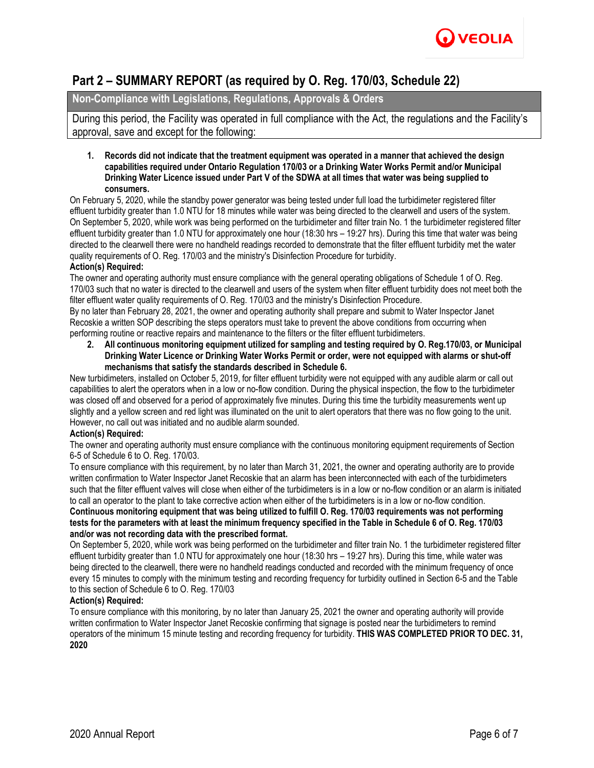

## **Part 2 – SUMMARY REPORT (as required by O. Reg. 170/03, Schedule 22)**

## **Non-Compliance with Legislations, Regulations, Approvals & Orders**

During this period, the Facility was operated in full compliance with the Act, the regulations and the Facility's approval, save and except for the following:

**1. Records did not indicate that the treatment equipment was operated in a manner that achieved the design capabilities required under Ontario Regulation 170/03 or a Drinking Water Works Permit and/or Municipal Drinking Water Licence issued under Part V of the SDWA at all times that water was being supplied to consumers.**

On February 5, 2020, while the standby power generator was being tested under full load the turbidimeter registered filter effluent turbidity greater than 1.0 NTU for 18 minutes while water was being directed to the clearwell and users of the system. On September 5, 2020, while work was being performed on the turbidimeter and filter train No. 1 the turbidimeter registered filter effluent turbidity greater than 1.0 NTU for approximately one hour (18:30 hrs – 19:27 hrs). During this time that water was being directed to the clearwell there were no handheld readings recorded to demonstrate that the filter effluent turbidity met the water quality requirements of O. Reg. 170/03 and the ministry's Disinfection Procedure for turbidity.

#### **Action(s) Required:**

The owner and operating authority must ensure compliance with the general operating obligations of Schedule 1 of O. Reg. 170/03 such that no water is directed to the clearwell and users of the system when filter effluent turbidity does not meet both the filter effluent water quality requirements of O. Reg. 170/03 and the ministry's Disinfection Procedure.

By no later than February 28, 2021, the owner and operating authority shall prepare and submit to Water Inspector Janet Recoskie a written SOP describing the steps operators must take to prevent the above conditions from occurring when performing routine or reactive repairs and maintenance to the filters or the filter effluent turbidimeters.

**2. All continuous monitoring equipment utilized for sampling and testing required by O. Reg.170/03, or Municipal Drinking Water Licence or Drinking Water Works Permit or order, were not equipped with alarms or shut-off mechanisms that satisfy the standards described in Schedule 6.**

New turbidimeters, installed on October 5, 2019, for filter effluent turbidity were not equipped with any audible alarm or call out capabilities to alert the operators when in a low or no-flow condition. During the physical inspection, the flow to the turbidimeter was closed off and observed for a period of approximately five minutes. During this time the turbidity measurements went up slightly and a yellow screen and red light was illuminated on the unit to alert operators that there was no flow going to the unit. However, no call out was initiated and no audible alarm sounded.

#### **Action(s) Required:**

The owner and operating authority must ensure compliance with the continuous monitoring equipment requirements of Section 6-5 of Schedule 6 to O. Reg. 170/03.

To ensure compliance with this requirement, by no later than March 31, 2021, the owner and operating authority are to provide written confirmation to Water Inspector Janet Recoskie that an alarm has been interconnected with each of the turbidimeters such that the filter effluent valves will close when either of the turbidimeters is in a low or no-flow condition or an alarm is initiated to call an operator to the plant to take corrective action when either of the turbidimeters is in a low or no-flow condition. **Continuous monitoring equipment that was being utilized to fulfill O. Reg. 170/03 requirements was not performing tests for the parameters with at least the minimum frequency specified in the Table in Schedule 6 of O. Reg. 170/03 and/or was not recording data with the prescribed format.**

On September 5, 2020, while work was being performed on the turbidimeter and filter train No. 1 the turbidimeter registered filter effluent turbidity greater than 1.0 NTU for approximately one hour (18:30 hrs – 19:27 hrs). During this time, while water was being directed to the clearwell, there were no handheld readings conducted and recorded with the minimum frequency of once every 15 minutes to comply with the minimum testing and recording frequency for turbidity outlined in Section 6-5 and the Table to this section of Schedule 6 to O. Reg. 170/03

#### **Action(s) Required:**

To ensure compliance with this monitoring, by no later than January 25, 2021 the owner and operating authority will provide written confirmation to Water Inspector Janet Recoskie confirming that signage is posted near the turbidimeters to remind operators of the minimum 15 minute testing and recording frequency for turbidity. **THIS WAS COMPLETED PRIOR TO DEC. 31, 2020**